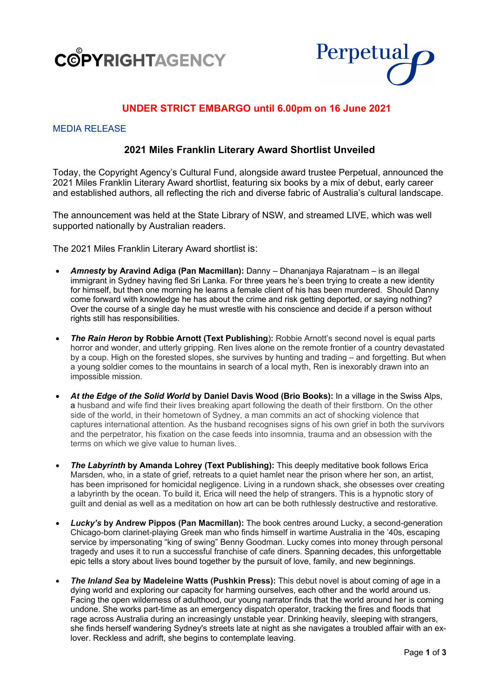



## **UNDER STRICT EMBARGO until 6.00pm on 16 June 2021**

## MEDIA RELEASE

## **2021 Miles Franklin Literary Award Shortlist Unveiled**

Today, the Copyright Agency's Cultural Fund, alongside award trustee Perpetual, announced the 2021 Miles Franklin Literary Award shortlist, featuring six books by a mix of debut, early career and established authors, all reflecting the rich and diverse fabric of Australia's cultural landscape.

The announcement was held at the State Library of NSW, and streamed LIVE, which was well supported nationally by Australian readers.

The 2021 Miles Franklin Literary Award shortlist is:

- *Amnesty* **by Aravind Adiga (Pan Macmillan):** Danny Dhananjaya Rajaratnam is an illegal immigrant in Sydney having fled Sri Lanka. For three years he's been trying to create a new identity for himself, but then one morning he learns a female client of his has been murdered. Should Danny come forward with knowledge he has about the crime and risk getting deported, or saying nothing? Over the course of a single day he must wrestle with his conscience and decide if a person without rights still has responsibilities.
- *The Rain Heron* **by Robbie Arnott (Text Publishing**)**:** Robbie Arnott's second novel is equal parts horror and wonder, and utterly gripping. Ren lives alone on the remote frontier of a country devastated by a coup. High on the forested slopes, she survives by hunting and trading – and forgetting. But when a young soldier comes to the mountains in search of a local myth, Ren is inexorably drawn into an impossible mission.
- *At the Edge of the Solid World* **by Daniel Davis Wood (Brio Books):** In a village in the Swiss Alps, a husband and wife find their lives breaking apart following the death of their firstborn. On the other side of the world, in their hometown of Sydney, a man commits an act of shocking violence that captures international attention. As the husband recognises signs of his own grief in both the survivors and the perpetrator, his fixation on the case feeds into insomnia, trauma and an obsession with the terms on which we give value to human lives.
- *The Labyrinth* **by Amanda Lohrey (Text Publishing):** This deeply meditative book follows Erica Marsden, who, in a state of grief, retreats to a quiet hamlet near the prison where her son, an artist, has been imprisoned for homicidal negligence. Living in a rundown shack, she obsesses over creating a labyrinth by the ocean. To build it, Erica will need the help of strangers. This is a hypnotic story of guilt and denial as well as a meditation on how art can be both ruthlessly destructive and restorative.
- *Lucky's* **by Andrew Pippos (Pan Macmillan):** The book centres around Lucky, a second-generation Chicago-born clarinet-playing Greek man who finds himself in wartime Australia in the '40s, escaping service by impersonating "king of swing" Benny Goodman. Lucky comes into money through personal tragedy and uses it to run a successful franchise of cafe diners. Spanning decades, this unforgettable epic tells a story about lives bound together by the pursuit of love, family, and new beginnings.
- *The Inland Sea* **by Madeleine Watts (Pushkin Press):** This debut novel is about coming of age in a dying world and exploring our capacity for harming ourselves, each other and the world around us. Facing the open wilderness of adulthood, our young narrator finds that the world around her is coming undone. She works part-time as an emergency dispatch operator, tracking the fires and floods that rage across Australia during an increasingly unstable year. Drinking heavily, sleeping with strangers, she finds herself wandering Sydney's streets late at night as she navigates a troubled affair with an exlover. Reckless and adrift, she begins to contemplate leaving.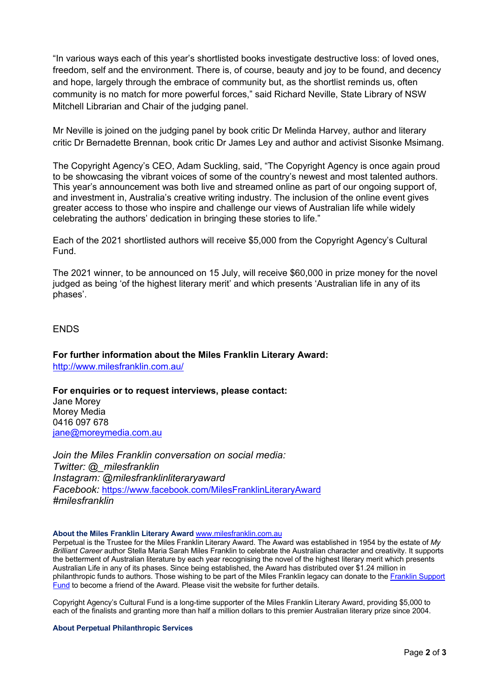"In various ways each of this year's shortlisted books investigate destructive loss: of loved ones, freedom, self and the environment. There is, of course, beauty and joy to be found, and decency and hope, largely through the embrace of community but, as the shortlist reminds us, often community is no match for more powerful forces," said Richard Neville, State Library of NSW Mitchell Librarian and Chair of the judging panel.

Mr Neville is joined on the judging panel by book critic Dr Melinda Harvey, author and literary critic Dr Bernadette Brennan, book critic Dr James Ley and author and activist Sisonke Msimang.

The Copyright Agency's CEO, Adam Suckling, said, "The Copyright Agency is once again proud to be showcasing the vibrant voices of some of the country's newest and most talented authors. This year's announcement was both live and streamed online as part of our ongoing support of, and investment in, Australia's creative writing industry. The inclusion of the online event gives greater access to those who inspire and challenge our views of Australian life while widely celebrating the authors' dedication in bringing these stories to life."

Each of the 2021 shortlisted authors will receive \$5,000 from the Copyright Agency's Cultural Fund.

The 2021 winner, to be announced on 15 July, will receive \$60,000 in prize money for the novel judged as being 'of the highest literary merit' and which presents 'Australian life in any of its phases'.

ENDS

**For further information about the Miles Franklin Literary Award:** http://www.milesfranklin.com.au/

**For enquiries or to request interviews, please contact:**  Jane Morey Morey Media 0416 097 678 jane@moreymedia.com.au

*Join the Miles Franklin conversation on social media: Twitter: @\_milesfranklin Instagram: @milesfranklinliteraryaward Facebook:* https://www.facebook.com/MilesFranklinLiteraryAward *#milesfranklin*

## **About the Miles Franklin Literary Award** www.milesfranklin.com.au

Perpetual is the Trustee for the Miles Franklin Literary Award. The Award was established in 1954 by the estate of *My Brilliant Career* author Stella Maria Sarah Miles Franklin to celebrate the Australian character and creativity. It supports the betterment of Australian literature by each year recognising the novel of the highest literary merit which presents Australian Life in any of its phases. Since being established, the Award has distributed over \$1.24 million in philanthropic funds to authors. Those wishing to be part of the Miles Franklin legacy can donate to the Franklin Support Fund to become a friend of the Award. Please visit the website for further details.

Copyright Agency's Cultural Fund is a long-time supporter of the Miles Franklin Literary Award, providing \$5,000 to each of the finalists and granting more than half a million dollars to this premier Australian literary prize since 2004.

**About Perpetual Philanthropic Services**